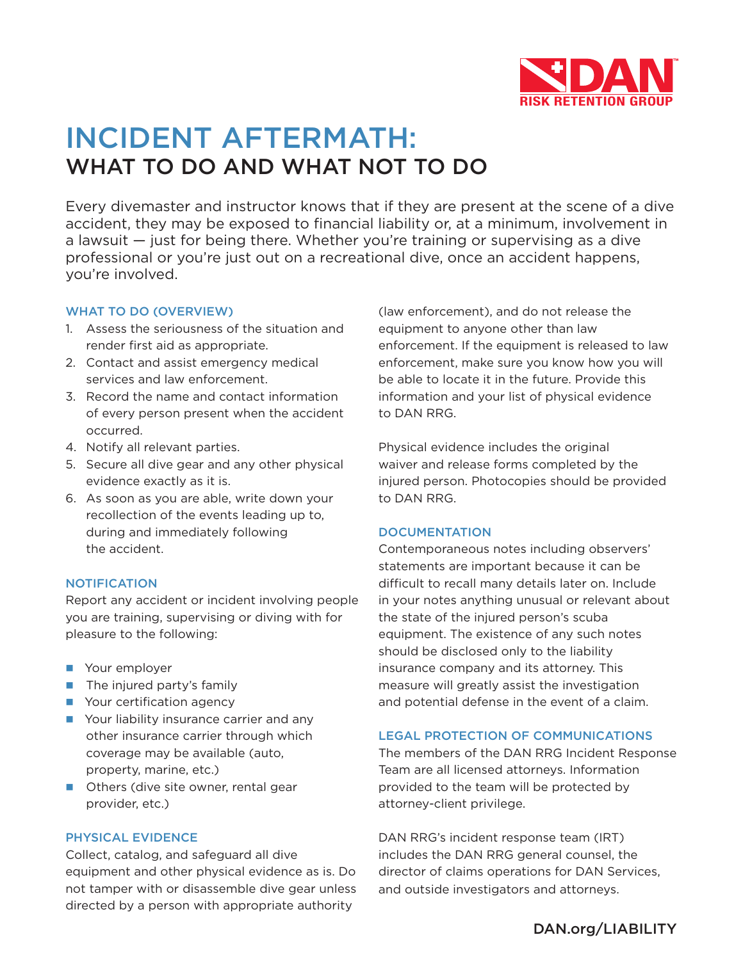

# INCIDENT AFTERMATH: WHAT TO DO AND WHAT NOT TO DO

Every divemaster and instructor knows that if they are present at the scene of a dive accident, they may be exposed to financial liability or, at a minimum, involvement in a lawsuit — just for being there. Whether you're training or supervising as a dive professional or you're just out on a recreational dive, once an accident happens, you're involved.

# WHAT TO DO (OVERVIEW)

- 1. Assess the seriousness of the situation and render first aid as appropriate.
- 2. Contact and assist emergency medical services and law enforcement.
- 3. Record the name and contact information of every person present when the accident occurred.
- 4. Notify all relevant parties.
- 5. Secure all dive gear and any other physical evidence exactly as it is.
- 6. As soon as you are able, write down your recollection of the events leading up to, during and immediately following the accident.

# NOTIFICATION

Report any accident or incident involving people you are training, supervising or diving with for pleasure to the following:

- **Nour employer**
- $\blacksquare$  The injured party's family
- **Nour certification agency**
- **Nour liability insurance carrier and any** other insurance carrier through which coverage may be available (auto, property, marine, etc.)
- **n** Others (dive site owner, rental gear provider, etc.)

# PHYSICAL EVIDENCE

Collect, catalog, and safeguard all dive equipment and other physical evidence as is. Do not tamper with or disassemble dive gear unless directed by a person with appropriate authority

(law enforcement), and do not release the equipment to anyone other than law enforcement. If the equipment is released to law enforcement, make sure you know how you will be able to locate it in the future. Provide this information and your list of physical evidence to DAN RRG.

Physical evidence includes the original waiver and release forms completed by the injured person. Photocopies should be provided to DAN RRG.

## **DOCUMENTATION**

Contemporaneous notes including observers' statements are important because it can be difficult to recall many details later on. Include in your notes anything unusual or relevant about the state of the injured person's scuba equipment. The existence of any such notes should be disclosed only to the liability insurance company and its attorney. This measure will greatly assist the investigation and potential defense in the event of a claim.

## LEGAL PROTECTION OF COMMUNICATIONS

The members of the DAN RRG Incident Response Team are all licensed attorneys. Information provided to the team will be protected by attorney-client privilege.

DAN RRG's incident response team (IRT) includes the DAN RRG general counsel, the director of claims operations for DAN Services, and outside investigators and attorneys.